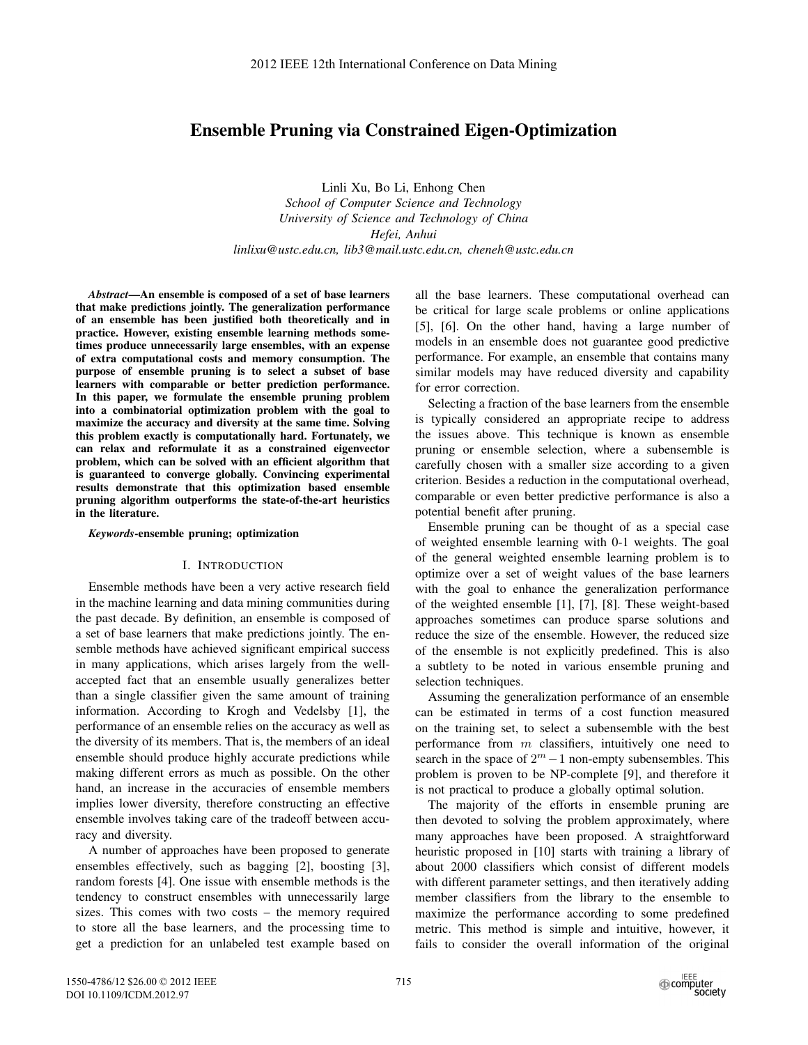# **Ensemble Pruning via Constrained Eigen-Optimization**

Linli Xu, Bo Li, Enhong Chen *School of Computer Science and Technology University of Science and Technology of China Hefei, Anhui linlixu@ustc.edu.cn, lib3@mail.ustc.edu.cn, cheneh@ustc.edu.cn*

*Abstract***—An ensemble is composed of a set of base learners that make predictions jointly. The generalization performance of an ensemble has been justified both theoretically and in practice. However, existing ensemble learning methods sometimes produce unnecessarily large ensembles, with an expense of extra computational costs and memory consumption. The purpose of ensemble pruning is to select a subset of base learners with comparable or better prediction performance. In this paper, we formulate the ensemble pruning problem into a combinatorial optimization problem with the goal to maximize the accuracy and diversity at the same time. Solving this problem exactly is computationally hard. Fortunately, we can relax and reformulate it as a constrained eigenvector problem, which can be solved with an efficient algorithm that is guaranteed to converge globally. Convincing experimental results demonstrate that this optimization based ensemble pruning algorithm outperforms the state-of-the-art heuristics in the literature.**

#### *Keywords***-ensemble pruning; optimization**

#### I. INTRODUCTION

Ensemble methods have been a very active research field in the machine learning and data mining communities during the past decade. By definition, an ensemble is composed of a set of base learners that make predictions jointly. The ensemble methods have achieved significant empirical success in many applications, which arises largely from the wellaccepted fact that an ensemble usually generalizes better than a single classifier given the same amount of training information. According to Krogh and Vedelsby [1], the performance of an ensemble relies on the accuracy as well as the diversity of its members. That is, the members of an ideal ensemble should produce highly accurate predictions while making different errors as much as possible. On the other hand, an increase in the accuracies of ensemble members implies lower diversity, therefore constructing an effective ensemble involves taking care of the tradeoff between accuracy and diversity.

A number of approaches have been proposed to generate ensembles effectively, such as bagging [2], boosting [3], random forests [4]. One issue with ensemble methods is the tendency to construct ensembles with unnecessarily large sizes. This comes with two costs – the memory required to store all the base learners, and the processing time to get a prediction for an unlabeled test example based on all the base learners. These computational overhead can be critical for large scale problems or online applications [5], [6]. On the other hand, having a large number of models in an ensemble does not guarantee good predictive performance. For example, an ensemble that contains many similar models may have reduced diversity and capability for error correction.

Selecting a fraction of the base learners from the ensemble is typically considered an appropriate recipe to address the issues above. This technique is known as ensemble pruning or ensemble selection, where a subensemble is carefully chosen with a smaller size according to a given criterion. Besides a reduction in the computational overhead, comparable or even better predictive performance is also a potential benefit after pruning.

Ensemble pruning can be thought of as a special case of weighted ensemble learning with 0-1 weights. The goal of the general weighted ensemble learning problem is to optimize over a set of weight values of the base learners with the goal to enhance the generalization performance of the weighted ensemble [1], [7], [8]. These weight-based approaches sometimes can produce sparse solutions and reduce the size of the ensemble. However, the reduced size of the ensemble is not explicitly predefined. This is also a subtlety to be noted in various ensemble pruning and selection techniques.

Assuming the generalization performance of an ensemble can be estimated in terms of a cost function measured on the training set, to select a subensemble with the best performance from  $m$  classifiers, intuitively one need to search in the space of  $2^m - 1$  non-empty subensembles. This problem is proven to be NP-complete [9], and therefore it is not practical to produce a globally optimal solution.

The majority of the efforts in ensemble pruning are then devoted to solving the problem approximately, where many approaches have been proposed. A straightforward heuristic proposed in [10] starts with training a library of about 2000 classifiers which consist of different models with different parameter settings, and then iteratively adding member classifiers from the library to the ensemble to maximize the performance according to some predefined metric. This method is simple and intuitive, however, it fails to consider the overall information of the original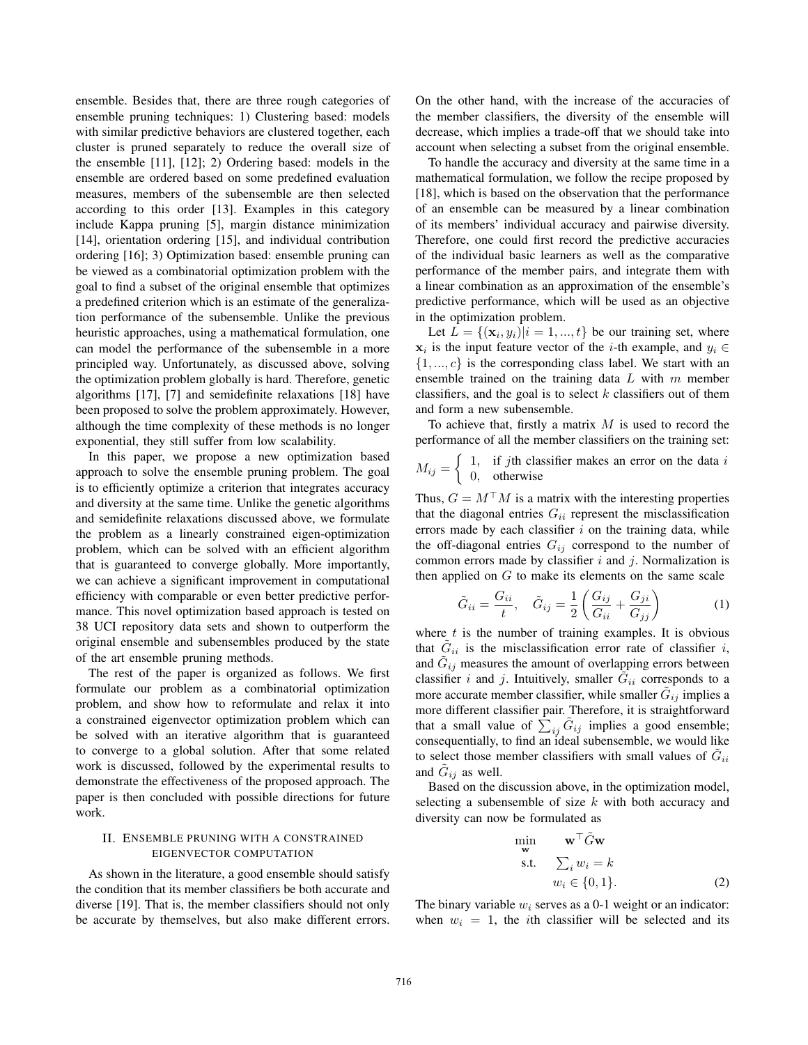ensemble. Besides that, there are three rough categories of ensemble pruning techniques: 1) Clustering based: models with similar predictive behaviors are clustered together, each cluster is pruned separately to reduce the overall size of the ensemble [11], [12]; 2) Ordering based: models in the ensemble are ordered based on some predefined evaluation measures, members of the subensemble are then selected according to this order [13]. Examples in this category include Kappa pruning [5], margin distance minimization [14], orientation ordering [15], and individual contribution ordering [16]; 3) Optimization based: ensemble pruning can be viewed as a combinatorial optimization problem with the goal to find a subset of the original ensemble that optimizes a predefined criterion which is an estimate of the generalization performance of the subensemble. Unlike the previous heuristic approaches, using a mathematical formulation, one can model the performance of the subensemble in a more principled way. Unfortunately, as discussed above, solving the optimization problem globally is hard. Therefore, genetic algorithms [17], [7] and semidefinite relaxations [18] have been proposed to solve the problem approximately. However, although the time complexity of these methods is no longer exponential, they still suffer from low scalability.

In this paper, we propose a new optimization based approach to solve the ensemble pruning problem. The goal is to efficiently optimize a criterion that integrates accuracy and diversity at the same time. Unlike the genetic algorithms and semidefinite relaxations discussed above, we formulate the problem as a linearly constrained eigen-optimization problem, which can be solved with an efficient algorithm that is guaranteed to converge globally. More importantly, we can achieve a significant improvement in computational efficiency with comparable or even better predictive performance. This novel optimization based approach is tested on 38 UCI repository data sets and shown to outperform the original ensemble and subensembles produced by the state of the art ensemble pruning methods.

The rest of the paper is organized as follows. We first formulate our problem as a combinatorial optimization problem, and show how to reformulate and relax it into a constrained eigenvector optimization problem which can be solved with an iterative algorithm that is guaranteed to converge to a global solution. After that some related work is discussed, followed by the experimental results to demonstrate the effectiveness of the proposed approach. The paper is then concluded with possible directions for future work.

# II. ENSEMBLE PRUNING WITH A CONSTRAINED EIGENVECTOR COMPUTATION

As shown in the literature, a good ensemble should satisfy the condition that its member classifiers be both accurate and diverse [19]. That is, the member classifiers should not only be accurate by themselves, but also make different errors.

On the other hand, with the increase of the accuracies of the member classifiers, the diversity of the ensemble will decrease, which implies a trade-off that we should take into account when selecting a subset from the original ensemble.

To handle the accuracy and diversity at the same time in a mathematical formulation, we follow the recipe proposed by [18], which is based on the observation that the performance of an ensemble can be measured by a linear combination of its members' individual accuracy and pairwise diversity. Therefore, one could first record the predictive accuracies of the individual basic learners as well as the comparative performance of the member pairs, and integrate them with a linear combination as an approximation of the ensemble's predictive performance, which will be used as an objective in the optimization problem.

Let  $L = \{(\mathbf{x}_i, y_i) | i = 1, ..., t\}$  be our training set, where  $x_i$  is the input feature vector of the *i*-th example, and  $y_i \in$  $\{1, ..., c\}$  is the corresponding class label. We start with an ensemble trained on the training data  $L$  with  $m$  member classifiers, and the goal is to select  $k$  classifiers out of them and form a new subensemble.

To achieve that, firstly a matrix  $M$  is used to record the performance of all the member classifiers on the training set:

$$
M_{ij} = \begin{cases} 1, & \text{if } j \text{th classifier makes an error on the data } i \\ 0, & \text{otherwise} \end{cases}
$$

Thus,  $G = M^{\top} M$  is a matrix with the interesting properties that the diagonal entries  $G_{ii}$  represent the misclassification errors made by each classifier  $i$  on the training data, while the off-diagonal entries  $G_{ij}$  correspond to the number of common errors made by classifier  $i$  and  $j$ . Normalization is then applied on  $G$  to make its elements on the same scale

$$
\tilde{G}_{ii} = \frac{G_{ii}}{t}, \quad \tilde{G}_{ij} = \frac{1}{2} \left( \frac{G_{ij}}{G_{ii}} + \frac{G_{ji}}{G_{jj}} \right) \tag{1}
$$

where  $t$  is the number of training examples. It is obvious that  $\tilde{G}_{ii}$  is the misclassification error rate of classifier i, and  $G_{ij}$  measures the amount of overlapping errors between classifier  $i$  and  $j$ . Intuitively, smaller  $G_{ii}$  corresponds to a more accurate member classifier, while smaller  $\tilde{G}_{ij}$  implies a more different classifier pair. Therefore, it is straightforward that a small value of  $\sum_{ij} \tilde{G}_{ij}$  implies a good ensemble; consequentially, to find an ideal subensemble, we would like to select those member classifiers with small values of  $G_{ii}$ and  $G_{ij}$  as well.

Based on the discussion above, in the optimization model, selecting a subensemble of size  $k$  with both accuracy and diversity can now be formulated as

$$
\min_{\mathbf{w}} \qquad \mathbf{w}^{\top} \tilde{G} \mathbf{w}
$$
  
s.t. 
$$
\sum_{i} w_{i} = k
$$

$$
w_{i} \in \{0, 1\}.
$$
 (2)

The binary variable  $w_i$  serves as a 0-1 weight or an indicator: when  $w_i = 1$ , the *i*th classifier will be selected and its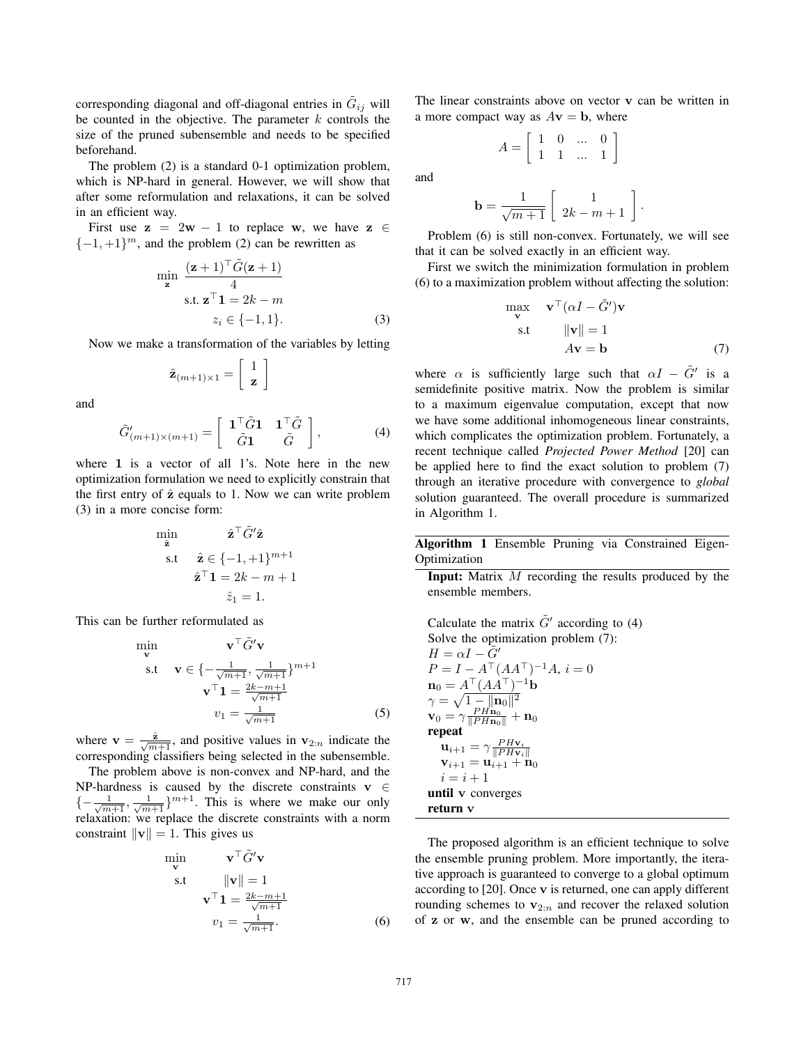corresponding diagonal and off-diagonal entries in  $\tilde{G}_{ij}$  will be counted in the objective. The parameter  $k$  controls the size of the pruned subensemble and needs to be specified beforehand.

The problem (2) is a standard 0-1 optimization problem, which is NP-hard in general. However, we will show that after some reformulation and relaxations, it can be solved in an efficient way.

First use  $z = 2w - 1$  to replace w, we have  $z \in$  $\{-1, +1\}^m$ , and the problem (2) can be rewritten as

$$
\min_{\mathbf{z}} \frac{(\mathbf{z}+1)^{\top} \tilde{G}(\mathbf{z}+1)}{4}
$$
\n
$$
\text{s.t. } \mathbf{z}^{\top} \mathbf{1} = 2k - m
$$
\n
$$
z_i \in \{-1, 1\}.
$$
\n(3)

Now we make a transformation of the variables by letting

$$
\hat{\mathbf{z}}_{(m+1)\times 1} = \left[ \begin{array}{c} 1 \\ \mathbf{z} \end{array} \right]
$$

and

$$
\tilde{G}'_{(m+1)\times(m+1)} = \begin{bmatrix} \mathbf{1}^\top \tilde{G} \mathbf{1} & \mathbf{1}^\top \tilde{G} \\ \tilde{G} \mathbf{1} & \tilde{G} \end{bmatrix},\tag{4}
$$

where 1 is a vector of all 1's. Note here in the new optimization formulation we need to explicitly constrain that the first entry of  $\hat{z}$  equals to 1. Now we can write problem (3) in a more concise form:

$$
\min_{\hat{\mathbf{z}}}\qquad \qquad \hat{\mathbf{z}}^{\top}\tilde{G}'\hat{\mathbf{z}}
$$
\n
$$
\text{s.t} \quad \hat{\mathbf{z}} \in \{-1, +1\}^{m+1}
$$
\n
$$
\hat{\mathbf{z}}^{\top}\mathbf{1} = 2k - m + 1
$$
\n
$$
\hat{z}_1 = 1.
$$

This can be further reformulated as

$$
\begin{array}{ll}\n\text{min} & \mathbf{v}^\top \tilde{G}' \mathbf{v} \\
\text{s.t} & \mathbf{v} \in \left\{-\frac{1}{\sqrt{m+1}}, \frac{1}{\sqrt{m+1}}\right\}^{m+1} \\
& \mathbf{v}^\top \mathbf{1} = \frac{2k - m + 1}{\sqrt{m+1}} \\
& v_1 = \frac{1}{\sqrt{m+1}}\n\end{array} \tag{5}
$$

where  $\mathbf{v} = \frac{\hat{\mathbf{z}}}{\sqrt{m+1}}$ , and positive values in  $\mathbf{v}_{2:n}$  indicate the corresponding classifiers being selected in the subensemble.

The problem above is non-convex and NP-hard, and the NP-hardness is caused by the discrete constraints  $\mathbf{v} \in$  $\{-\frac{1}{\sqrt{m+1}}, \frac{1}{\sqrt{m+1}}\}^{m+1}$ . This is where we make our only relaxation: we replace the discrete constraints with a norm constraint  $||\mathbf{v}|| = 1$ . This gives us

$$
\min_{\mathbf{v}} \qquad \mathbf{v}^{\top} \tilde{G}' \mathbf{v}
$$
\n
$$
\text{s.t} \qquad ||\mathbf{v}|| = 1
$$
\n
$$
\mathbf{v}^{\top} \mathbf{1} = \frac{2k - m + 1}{\sqrt{m + 1}}
$$
\n
$$
v_1 = \frac{1}{\sqrt{m + 1}}.
$$
\n(6)

The linear constraints above on vector **v** can be written in a more compact way as  $A$ **v** = **b**, where

$$
A=\left[\begin{array}{cccc}1&0&\ldots&0\\1&1&\ldots&1\end{array}\right]
$$

and

$$
\mathbf{b} = \frac{1}{\sqrt{m+1}} \left[ \begin{array}{c} 1 \\ 2k - m + 1 \end{array} \right].
$$

Problem (6) is still non-convex. Fortunately, we will see that it can be solved exactly in an efficient way.

First we switch the minimization formulation in problem (6) to a maximization problem without affecting the solution:

$$
\begin{array}{ll}\n\max_{\mathbf{v}} & \mathbf{v}^{\top}(\alpha I - \tilde{G}')\mathbf{v} \\
\text{s.t} & \|\mathbf{v}\| = 1 \\
A\mathbf{v} = \mathbf{b}\n\end{array} \tag{7}
$$

where  $\alpha$  is sufficiently large such that  $\alpha I - \tilde{G}'$  is a semidefinite positive matrix. Now the problem is similar to a maximum eigenvalue computation, except that now we have some additional inhomogeneous linear constraints, which complicates the optimization problem. Fortunately, a recent technique called *Projected Power Method* [20] can be applied here to find the exact solution to problem (7) through an iterative procedure with convergence to *global* solution guaranteed. The overall procedure is summarized in Algorithm 1.

**Algorithm 1** Ensemble Pruning via Constrained Eigen-Optimization

**Input:** Matrix  $M$  recording the results produced by the ensemble members.

Calculate the matrix  $\tilde{G}'$  according to (4) Solve the optimization problem  $(7)$ :

$$
H = \alpha I - \tilde{G}'
$$
  
\n
$$
P = I - A^{\top} (AA^{\top})^{-1} A, i = 0
$$
  
\n
$$
\mathbf{n}_0 = A^{\top} (AA^{\top})^{-1} \mathbf{b}
$$
  
\n
$$
\gamma = \sqrt{1 - ||\mathbf{n}_0||^2}
$$
  
\n
$$
\mathbf{v}_0 = \gamma \frac{PH\mathbf{n}_0}{\|PH\mathbf{n}_0\|} + \mathbf{n}_0
$$
  
\nrepeat  
\n
$$
\mathbf{u}_{i+1} = \gamma \frac{PH\mathbf{v}_i}{\|PH\mathbf{v}_i\|}
$$
  
\n
$$
\mathbf{v}_{i+1} = \mathbf{u}_{i+1} + \mathbf{n}_0
$$
  
\n $i = i + 1$   
\nuntil v converges  
\nreturn v

The proposed algorithm is an efficient technique to solve the ensemble pruning problem. More importantly, the iterative approach is guaranteed to converge to a global optimum according to [20]. Once **v** is returned, one can apply different rounding schemes to  $\mathbf{v}_{2:n}$  and recover the relaxed solution of **z** or **w**, and the ensemble can be pruned according to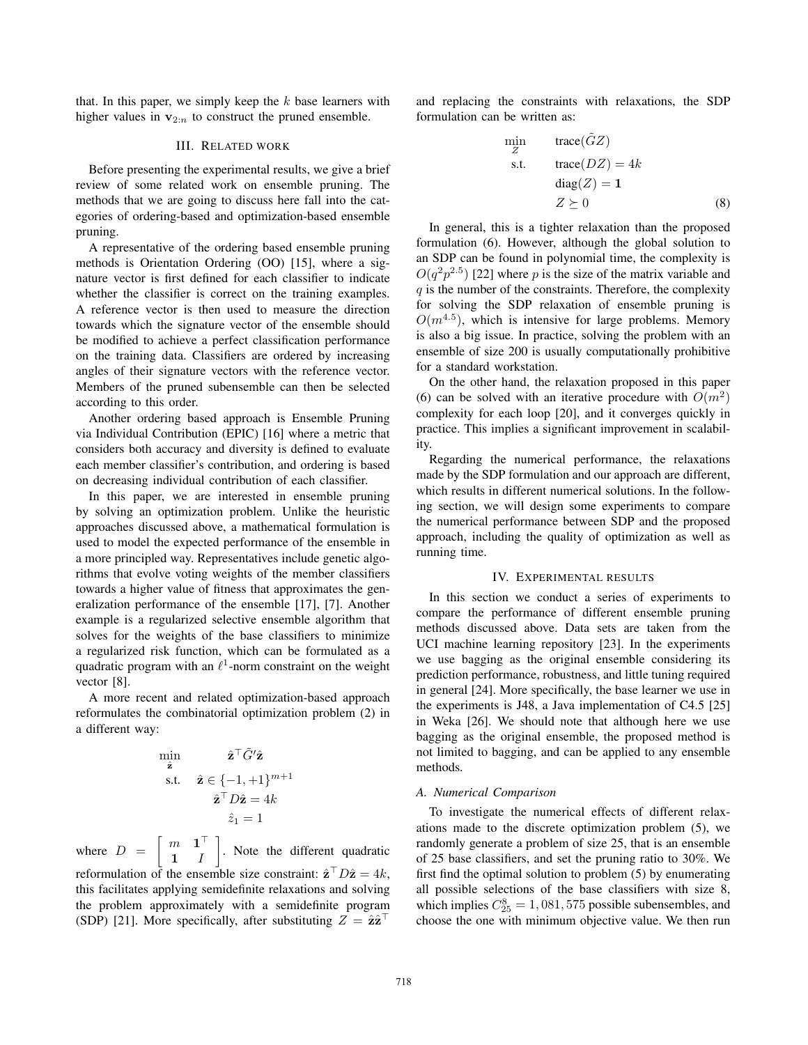that. In this paper, we simply keep the  $k$  base learners with higher values in  $\mathbf{v}_{2:n}$  to construct the pruned ensemble.

# III. RELATED WORK

Before presenting the experimental results, we give a brief review of some related work on ensemble pruning. The methods that we are going to discuss here fall into the categories of ordering-based and optimization-based ensemble pruning.

A representative of the ordering based ensemble pruning methods is Orientation Ordering (OO) [15], where a signature vector is first defined for each classifier to indicate whether the classifier is correct on the training examples. A reference vector is then used to measure the direction towards which the signature vector of the ensemble should be modified to achieve a perfect classification performance on the training data. Classifiers are ordered by increasing angles of their signature vectors with the reference vector. Members of the pruned subensemble can then be selected according to this order.

Another ordering based approach is Ensemble Pruning via Individual Contribution (EPIC) [16] where a metric that considers both accuracy and diversity is defined to evaluate each member classifier's contribution, and ordering is based on decreasing individual contribution of each classifier.

In this paper, we are interested in ensemble pruning by solving an optimization problem. Unlike the heuristic approaches discussed above, a mathematical formulation is used to model the expected performance of the ensemble in a more principled way. Representatives include genetic algorithms that evolve voting weights of the member classifiers towards a higher value of fitness that approximates the generalization performance of the ensemble [17], [7]. Another example is a regularized selective ensemble algorithm that solves for the weights of the base classifiers to minimize a regularized risk function, which can be formulated as a quadratic program with an  $\ell^1$ -norm constraint on the weight vector [8].

A more recent and related optimization-based approach reformulates the combinatorial optimization problem (2) in a different way:

$$
\min_{\hat{\mathbf{z}}}\qquad \qquad \hat{\mathbf{z}}^{\top}\tilde{G}'\hat{\mathbf{z}}
$$
\ns.t. 
$$
\hat{\mathbf{z}} \in \{-1, +1\}^{m+1}
$$
\n
$$
\hat{\mathbf{z}}^{\top}D\hat{\mathbf{z}} = 4k
$$
\n
$$
\hat{z}_1 = 1
$$

where  $D = \begin{bmatrix} m & \mathbf{1}^{\top} \\ \mathbf{1} & I \end{bmatrix}$ **1** ] . Note the different quadratic reformulation of the ensemble size constraint:  $\hat{\mathbf{z}}$ <sup>⊤</sup>  $D\hat{\mathbf{z}} = 4k$ , this facilitates applying semidefinite relaxations and solving the problem approximately with a semidefinite program (SDP) [21]. More specifically, after substituting  $Z = \hat{\mathbf{z}} \hat{\mathbf{z}}^\top$ 

and replacing the constraints with relaxations, the SDP formulation can be written as:

$$
\min_{Z} \text{trace}(\tilde{G}Z)
$$
\n
$$
\text{s.t.} \text{trace}(DZ) = 4k
$$
\n
$$
\text{diag}(Z) = 1
$$
\n
$$
Z \succeq 0
$$
\n
$$
(8)
$$

In general, this is a tighter relaxation than the proposed formulation (6). However, although the global solution to an SDP can be found in polynomial time, the complexity is  $O(q^2p^{2.5})$  [22] where p is the size of the matrix variable and  $q$  is the number of the constraints. Therefore, the complexity for solving the SDP relaxation of ensemble pruning is  $O(m^{4.5})$ , which is intensive for large problems. Memory is also a big issue. In practice, solving the problem with an ensemble of size 200 is usually computationally prohibitive for a standard workstation.

On the other hand, the relaxation proposed in this paper (6) can be solved with an iterative procedure with  $O(m^2)$ complexity for each loop [20], and it converges quickly in practice. This implies a significant improvement in scalability.

Regarding the numerical performance, the relaxations made by the SDP formulation and our approach are different, which results in different numerical solutions. In the following section, we will design some experiments to compare the numerical performance between SDP and the proposed approach, including the quality of optimization as well as running time.

#### IV. EXPERIMENTAL RESULTS

In this section we conduct a series of experiments to compare the performance of different ensemble pruning methods discussed above. Data sets are taken from the UCI machine learning repository [23]. In the experiments we use bagging as the original ensemble considering its prediction performance, robustness, and little tuning required in general [24]. More specifically, the base learner we use in the experiments is J48, a Java implementation of C4.5 [25] in Weka [26]. We should note that although here we use bagging as the original ensemble, the proposed method is not limited to bagging, and can be applied to any ensemble methods.

#### *A. Numerical Comparison*

To investigate the numerical effects of different relaxations made to the discrete optimization problem (5), we randomly generate a problem of size 25, that is an ensemble of 25 base classifiers, and set the pruning ratio to 30%. We first find the optimal solution to problem (5) by enumerating all possible selections of the base classifiers with size 8, which implies  $C_{25}^8 = 1,081,575$  possible subensembles, and choose the one with minimum objective value. We then run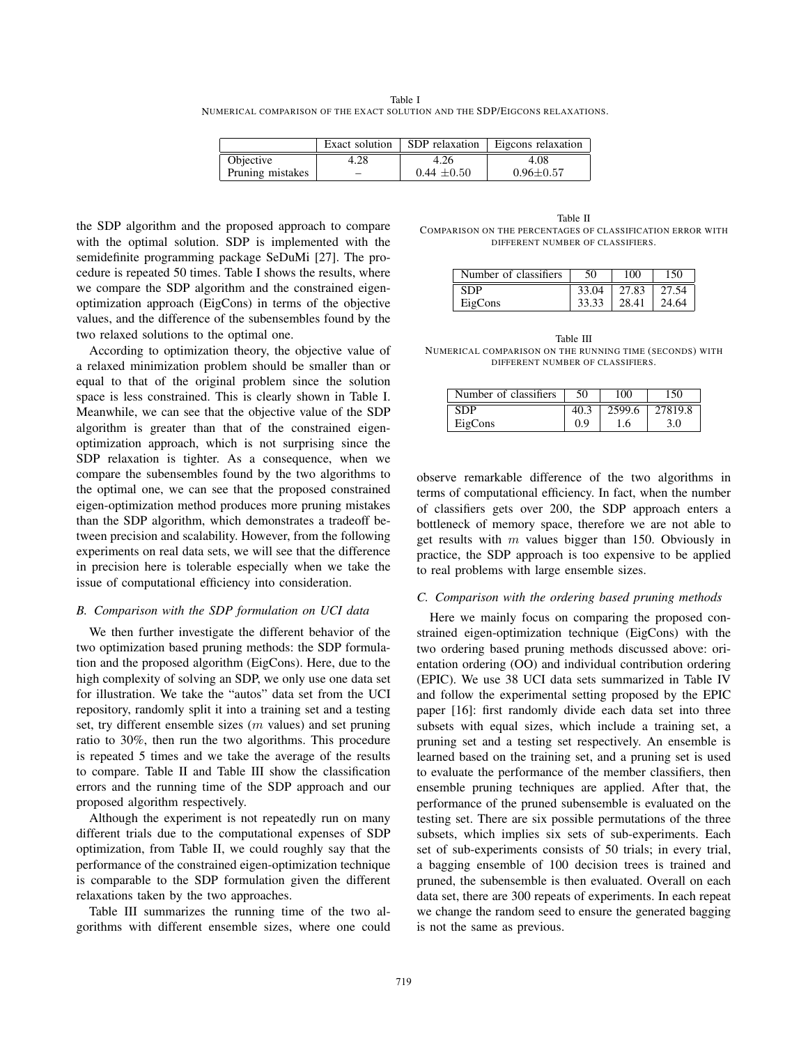Table I NUMERICAL COMPARISON OF THE EXACT SOLUTION AND THE SDP/EIGCONS RELAXATIONS.

|                  | Exact solution | SDP relaxation  | Eigcons relaxation |
|------------------|----------------|-----------------|--------------------|
| Objective        | 4.28           | 4.26            | 4.08               |
| Pruning mistakes |                | $0.44 \pm 0.50$ | $0.96 \pm 0.57$    |

the SDP algorithm and the proposed approach to compare with the optimal solution. SDP is implemented with the semidefinite programming package SeDuMi [27]. The procedure is repeated 50 times. Table I shows the results, where we compare the SDP algorithm and the constrained eigenoptimization approach (EigCons) in terms of the objective values, and the difference of the subensembles found by the two relaxed solutions to the optimal one.

According to optimization theory, the objective value of a relaxed minimization problem should be smaller than or equal to that of the original problem since the solution space is less constrained. This is clearly shown in Table I. Meanwhile, we can see that the objective value of the SDP algorithm is greater than that of the constrained eigenoptimization approach, which is not surprising since the SDP relaxation is tighter. As a consequence, when we compare the subensembles found by the two algorithms to the optimal one, we can see that the proposed constrained eigen-optimization method produces more pruning mistakes than the SDP algorithm, which demonstrates a tradeoff between precision and scalability. However, from the following experiments on real data sets, we will see that the difference in precision here is tolerable especially when we take the issue of computational efficiency into consideration.

# *B. Comparison with the SDP formulation on UCI data*

We then further investigate the different behavior of the two optimization based pruning methods: the SDP formulation and the proposed algorithm (EigCons). Here, due to the high complexity of solving an SDP, we only use one data set for illustration. We take the "autos" data set from the UCI repository, randomly split it into a training set and a testing set, try different ensemble sizes  $(m$  values) and set pruning ratio to 30%, then run the two algorithms. This procedure is repeated 5 times and we take the average of the results to compare. Table II and Table III show the classification errors and the running time of the SDP approach and our proposed algorithm respectively.

Although the experiment is not repeatedly run on many different trials due to the computational expenses of SDP optimization, from Table II, we could roughly say that the performance of the constrained eigen-optimization technique is comparable to the SDP formulation given the different relaxations taken by the two approaches.

Table III summarizes the running time of the two algorithms with different ensemble sizes, where one could

Table II COMPARISON ON THE PERCENTAGES OF CLASSIFICATION ERROR WITH DIFFERENT NUMBER OF CLASSIFIERS.

| Number of classifiers | 50    | 100   | 150   |
|-----------------------|-------|-------|-------|
| <b>SDP</b>            | 33.04 | 27.83 | 27.54 |
| EigCons               | 33.33 | 28.41 | 24.64 |

Table III NUMERICAL COMPARISON ON THE RUNNING TIME (SECONDS) WITH DIFFERENT NUMBER OF CLASSIFIERS.

| Number of classifiers | 50  | 100             |         |
|-----------------------|-----|-----------------|---------|
| SDP                   |     | 2599.6          | 27819.8 |
| EigCons               | 0.9 | .6 <sub>1</sub> | 3.0     |

observe remarkable difference of the two algorithms in terms of computational efficiency. In fact, when the number of classifiers gets over 200, the SDP approach enters a bottleneck of memory space, therefore we are not able to get results with  $m$  values bigger than 150. Obviously in practice, the SDP approach is too expensive to be applied to real problems with large ensemble sizes.

#### *C. Comparison with the ordering based pruning methods*

Here we mainly focus on comparing the proposed constrained eigen-optimization technique (EigCons) with the two ordering based pruning methods discussed above: orientation ordering (OO) and individual contribution ordering (EPIC). We use 38 UCI data sets summarized in Table IV and follow the experimental setting proposed by the EPIC paper [16]: first randomly divide each data set into three subsets with equal sizes, which include a training set, a pruning set and a testing set respectively. An ensemble is learned based on the training set, and a pruning set is used to evaluate the performance of the member classifiers, then ensemble pruning techniques are applied. After that, the performance of the pruned subensemble is evaluated on the testing set. There are six possible permutations of the three subsets, which implies six sets of sub-experiments. Each set of sub-experiments consists of 50 trials; in every trial, a bagging ensemble of 100 decision trees is trained and pruned, the subensemble is then evaluated. Overall on each data set, there are 300 repeats of experiments. In each repeat we change the random seed to ensure the generated bagging is not the same as previous.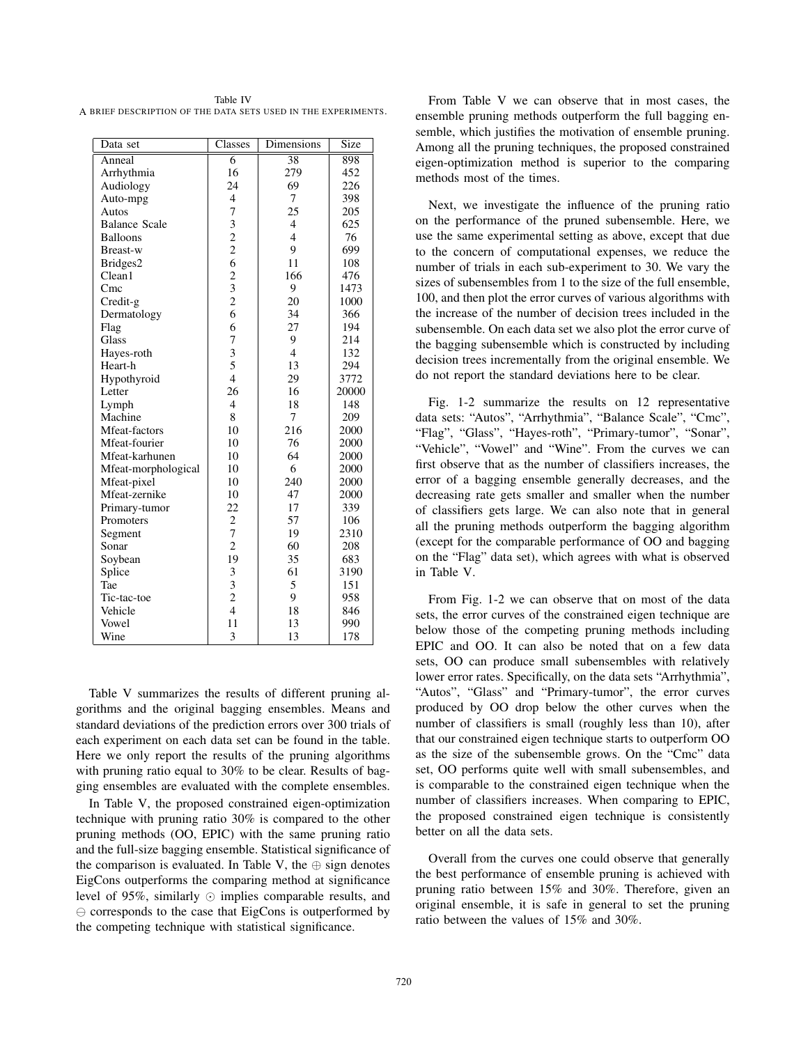Table IV A BRIEF DESCRIPTION OF THE DATA SETS USED IN THE EXPERIMENTS.

| Data set             | Classes          | <b>Dimensions</b> | <b>Size</b> |
|----------------------|------------------|-------------------|-------------|
| Anneal               | $\overline{6}$   | $\overline{38}$   | 898         |
| Arrhythmia           | 16               | 279               | 452         |
| Audiology            | 24               | 69                | 226         |
| Auto-mpg             | $\overline{4}$   | $\overline{7}$    | 398         |
| <b>Autos</b>         | 7                | 25                | 205         |
| <b>Balance Scale</b> | 3                | $\overline{4}$    | 625         |
| <b>Balloons</b>      | $\frac{2}{2}$    | $\overline{4}$    | 76          |
| <b>Breast-w</b>      |                  | 9                 | 699         |
| Bridges2             | 6                | 11                | 108         |
| Clean1               | $\overline{c}$   | 166               | 476         |
| Cmc                  | 3                | 9                 | 1473        |
| Credit-g             | $\overline{c}$   | 20                | 1000        |
| Dermatology          | 6                | 34                | 366         |
| Flag                 | 6                | 27                | 194         |
| Glass                | 7                | 9                 | 214         |
| Hayes-roth           | 3                | $\overline{4}$    | 132         |
| Heart-h              | 5                | 13                | 294         |
| Hypothyroid          | $\overline{4}$   | 29                | 3772        |
| Letter               | 26               | 16                | 20000       |
| Lymph                | $\overline{4}$   | 18                | 148         |
| Machine              | 8                | $\overline{7}$    | 209         |
| Mfeat-factors        | 10               | 216               | 2000        |
| Mfeat-fourier        | 10               | 76                | 2000        |
| Mfeat-karhunen       | 10               | 64                | 2000        |
| Mfeat-morphological  | 10               | 6                 | 2000        |
| Mfeat-pixel          | 10               | 240               | 2000        |
| Mfeat-zernike        | 10               | 47                | 2000        |
| Primary-tumor        | 22               | 17                | 339         |
| Promoters            | $\boldsymbol{2}$ | 57                | 106         |
| Segment              | $\overline{7}$   | 19                | 2310        |
| Sonar                | $\overline{c}$   | 60                | 208         |
| Soybean              | 19               | 35                | 683         |
| Splice               | 3                | 61                | 3190        |
| Tae                  | 3                | 5                 | 151         |
| Tic-tac-toe          | $\overline{c}$   | 9                 | 958         |
| Vehicle              | $\overline{4}$   | 18                | 846         |
| Vowel                | 11               | 13                | 990         |
| Wine                 | 3                | 13                | 178         |

Table V summarizes the results of different pruning algorithms and the original bagging ensembles. Means and standard deviations of the prediction errors over 300 trials of each experiment on each data set can be found in the table. Here we only report the results of the pruning algorithms with pruning ratio equal to 30% to be clear. Results of bagging ensembles are evaluated with the complete ensembles.

In Table V, the proposed constrained eigen-optimization technique with pruning ratio 30% is compared to the other pruning methods (OO, EPIC) with the same pruning ratio and the full-size bagging ensemble. Statistical significance of the comparison is evaluated. In Table V, the  $\oplus$  sign denotes EigCons outperforms the comparing method at significance level of 95%, similarly ⊙ implies comparable results, and ⊖ corresponds to the case that EigCons is outperformed by the competing technique with statistical significance.

From Table V we can observe that in most cases, the ensemble pruning methods outperform the full bagging ensemble, which justifies the motivation of ensemble pruning. Among all the pruning techniques, the proposed constrained eigen-optimization method is superior to the comparing methods most of the times.

Next, we investigate the influence of the pruning ratio on the performance of the pruned subensemble. Here, we use the same experimental setting as above, except that due to the concern of computational expenses, we reduce the number of trials in each sub-experiment to 30. We vary the sizes of subensembles from 1 to the size of the full ensemble, 100, and then plot the error curves of various algorithms with the increase of the number of decision trees included in the subensemble. On each data set we also plot the error curve of the bagging subensemble which is constructed by including decision trees incrementally from the original ensemble. We do not report the standard deviations here to be clear.

Fig. 1-2 summarize the results on 12 representative data sets: "Autos", "Arrhythmia", "Balance Scale", "Cmc", "Flag", "Glass", "Hayes-roth", "Primary-tumor", "Sonar", "Vehicle", "Vowel" and "Wine". From the curves we can first observe that as the number of classifiers increases, the error of a bagging ensemble generally decreases, and the decreasing rate gets smaller and smaller when the number of classifiers gets large. We can also note that in general all the pruning methods outperform the bagging algorithm (except for the comparable performance of OO and bagging on the "Flag" data set), which agrees with what is observed in Table V.

From Fig. 1-2 we can observe that on most of the data sets, the error curves of the constrained eigen technique are below those of the competing pruning methods including EPIC and OO. It can also be noted that on a few data sets, OO can produce small subensembles with relatively lower error rates. Specifically, on the data sets "Arrhythmia", "Autos", "Glass" and "Primary-tumor", the error curves produced by OO drop below the other curves when the number of classifiers is small (roughly less than 10), after that our constrained eigen technique starts to outperform OO as the size of the subensemble grows. On the "Cmc" data set, OO performs quite well with small subensembles, and is comparable to the constrained eigen technique when the number of classifiers increases. When comparing to EPIC, the proposed constrained eigen technique is consistently better on all the data sets.

Overall from the curves one could observe that generally the best performance of ensemble pruning is achieved with pruning ratio between 15% and 30%. Therefore, given an original ensemble, it is safe in general to set the pruning ratio between the values of 15% and 30%.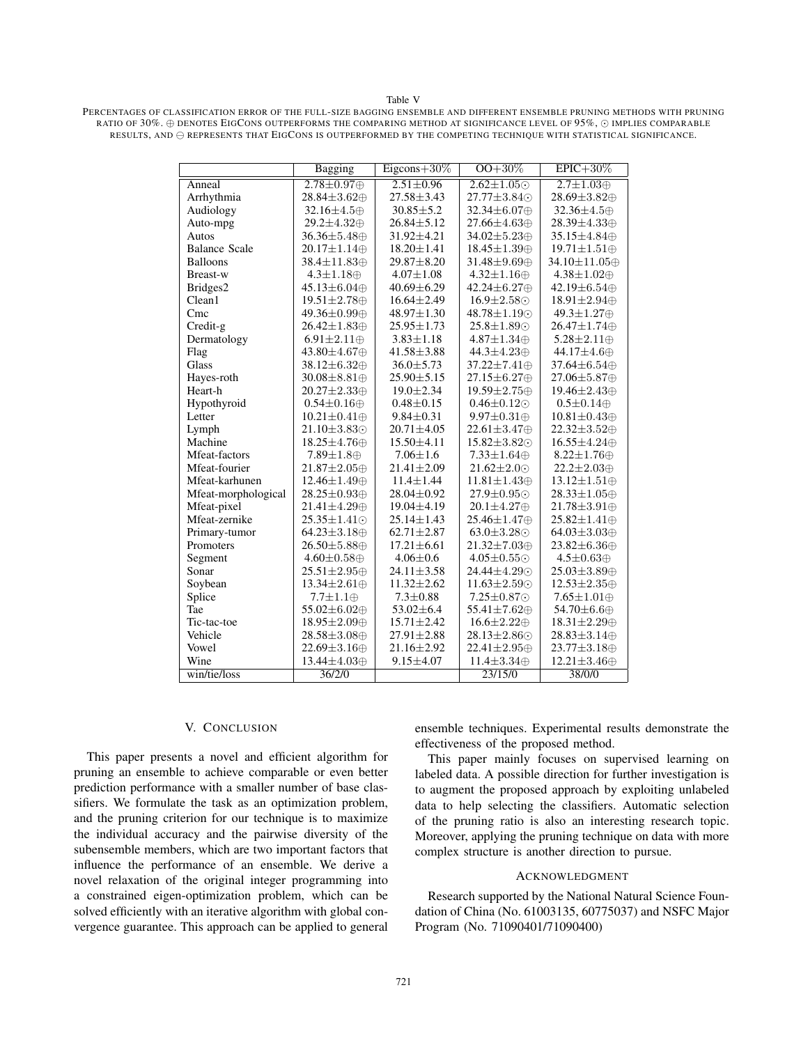Table V

| PERCENTAGES OF CLASSIFICATION ERROR OF THE FULL-SIZE BAGGING ENSEMBLE AND DIFFERENT ENSEMBLE PRUNING METHODS WITH PRUNING        |
|----------------------------------------------------------------------------------------------------------------------------------|
| RATIO OF 30%. $\oplus$ DENOTES EIGCONS OUTPERFORMS THE COMPARING METHOD AT SIGNIFICANCE LEVEL OF 95%, $\odot$ IMPLIES COMPARABLE |
| RESULTS, AND $\ominus$ REPRESENTS THAT EIGCONS IS OUTPERFORMED BY THE COMPETING TECHNIQUE WITH STATISTICAL SIGNIFICANCE.         |

|                      | Bagging                  | Eigcons $+30\%$  | $OO+30\%$               | $EPIC+30%$               |
|----------------------|--------------------------|------------------|-------------------------|--------------------------|
| Anneal               | $2.78 \pm 0.97$ $\oplus$ | $2.51 \pm 0.96$  | $2.62 \pm 1.05$         | $2.7 \pm 1.03 \oplus$    |
| Arrhythmia           | 28.84±3.62⊕              | $27.58 \pm 3.43$ | 27.77±3.84 $\odot$      | 28.69±3.82⊕              |
| Audiology            | 32.16±4.5⊕               | $30.85 \pm 5.2$  | 32.34±6.07⊕             | 32.36±4.5⊕               |
| Auto-mpg             | 29.2±4.32⊕               | $26.84 \pm 5.12$ | 27.66±4.63⊕             | 28.39±4.33⊕              |
| <b>Autos</b>         | 36.36±5.48⊕              | 31.92±4.21       | 34.02±5.23⊕             | 35.15±4.84 $\oplus$      |
| <b>Balance Scale</b> | 20.17±1.14 $\oplus$      | $18.20 \pm 1.41$ | 18.45±1.39⊕             | 19.71±1.51⊕              |
| <b>Balloons</b>      | 38.4±11.83⊕              | $29.87 \pm 8.20$ | 31.48±9.69⊕             | 34.10±11.05 $\oplus$     |
| Breast-w             | $4.3 \pm 1.18 \oplus$    | $4.07 \pm 1.08$  | $4.32 \pm 1.16 \oplus$  | $4.38 \pm 1.02 \oplus$   |
| Bridges2             | 45.13±6.04 $\oplus$      | $40.69 \pm 6.29$ | 42.24±6.27              | 42.19±6.54⊕              |
| Clean1               | 19.51±2.78⊕              | $16.64 \pm 2.49$ | $16.9 \pm 2.58$         | 18.91±2.94⊕              |
| Cmc                  | 49.36±0.99⊕              | $48.97 \pm 1.30$ | 48.78±1.19⊙             | 49.3±1.27⊕               |
| Credit-g             | 26.42±1.83⊕              | $25.95 \pm 1.73$ | $25.8 \pm 1.89$         | 26.47±1.74⊕              |
| Dermatology          | $6.91 \pm 2.11 \oplus$   | $3.83 \pm 1.18$  | $4.87 \pm 1.34 \oplus$  | $5.28 \pm 2.11 \oplus$   |
| Flag                 | 43.80±4.67⊕              | $41.58 \pm 3.88$ | 44.3±4.23⊕              | 44.17±4.6 $\oplus$       |
| <b>Glass</b>         | 38.12±6.32⊕              | $36.0 \pm 5.73$  | 37.22±7.41⊕             | 37.64±6.54⊕              |
| Hayes-roth           | 30.08±8.81⊕              | $25.90 \pm 5.15$ | 27.15±6.27⊕             | 27.06±5.87⊕              |
| Heart-h              | $20.27 \pm 2.33 \oplus$  | 19.0±2.34        | 19.59±2.75⊕             | 19.46±2.43⊕              |
| Hypothyroid          | $0.54\pm0.16\oplus$      | $0.48 \pm 0.15$  | $0.46\!\pm\!0.12\odot$  | $0.5 \pm 0.14 \oplus$    |
| Letter               | $10.21 \pm 0.41 \oplus$  | $9.84 \pm 0.31$  | $9.97 \pm 0.31 \oplus$  | $10.81{\pm}0.43{\oplus}$ |
| Lymph                | $21.10 \pm 3.83$         | $20.71 \pm 4.05$ | 22.61±3.47 $\oplus$     | 22.32±3.52⊕              |
| Machine              | 18.25±4.76⊕              | $15.50 \pm 4.11$ | $15.82 \pm 3.82$        | 16.55±4.24⊕              |
| Mfeat-factors        | $7.89 \pm 1.8 \oplus$    | $7.06 \pm 1.6$   | $7.33 \pm 1.64 \oplus$  | $8.22 \pm 1.76 \oplus$   |
| Mfeat-fourier        | $21.87 \pm 2.05 \oplus$  | $21.41 \pm 2.09$ | $21.62 \pm 2.0$         | $22.2 \pm 2.03 \oplus$   |
| Mfeat-karhunen       | 12.46±1.49⊕              | $11.4 \pm 1.44$  | $11.81 \pm 1.43 \oplus$ | 13.12±1.51⊕              |
| Mfeat-morphological  | 28.25±0.93⊕              | $28.04 \pm 0.92$ | $27.9 \pm 0.95$         | 28.33±1.05⊕              |
| Mfeat-pixel          | 21.41±4.29⊕              | $19.04 \pm 4.19$ | $20.1 \pm 4.27 \oplus$  | $21.78 \pm 3.91 \oplus$  |
| Mfeat-zernike        | $25.35 \pm 1.41$         | $25.14 \pm 1.43$ | 25.46±1.47⊕             | $25.82 \pm 1.41 \oplus$  |
| Primary-tumor        | $64.23 \pm 3.18 \oplus$  | $62.71 \pm 2.87$ | $63.0 \pm 3.28$         | $64.03 \pm 3.03 \oplus$  |
| Promoters            | 26.50±5.88⊕              | $17.21 \pm 6.61$ | 21.32±7.03⊕             | 23.82±6.36⊕              |
| Segment              | $4.60 \pm 0.58 \oplus$   | $4.06 \pm 0.6$   | $4.05 \pm 0.55$         | $4.5 \pm 0.63 \oplus$    |
| Sonar                | 25.51±2.95⊕              | $24.11 \pm 3.58$ | 24.44±4.29⊙             | $25.03 \pm 3.89 \oplus$  |
| Soybean              | 13.34±2.61⊕              | $11.32 \pm 2.62$ | $11.63 \pm 2.59$        | $12.53 \pm 2.35 \oplus$  |
| Splice               | $7.7 \pm 1.1 \oplus$     | $7.3 \pm 0.88$   | $7.25 \pm 0.87$         | $7.65 \pm 1.01 \oplus$   |
| Tae                  | 55.02±6.02⊕              | $53.02 \pm 6.4$  | 55.41±7.62⊕             | 54.70±6.6⊕               |
| Tic-tac-toe          | 18.95±2.09⊕              | $15.71 \pm 2.42$ | $16.6 \pm 2.22 \oplus$  | $18.31 \pm 2.29 \oplus$  |
| Vehicle              | 28.58±3.08⊕              | $27.91 \pm 2.88$ | $28.13 \pm 2.86$        | $28.83 \pm 3.14 \oplus$  |
| Vowel                | 22.69±3.16⊕              | $21.16 \pm 2.92$ | 22.41±2.95 $\oplus$     | $23.77 \pm 3.18 \oplus$  |
| Wine                 | 13.44±4.03⊕              | $9.15 \pm 4.07$  | $11.4 \pm 3.34 \oplus$  | 12.21±3.46 $\oplus$      |
| win/tie/loss         | 36/2/0                   |                  | 23/15/0                 | 38/0/0                   |

# V. CONCLUSION

This paper presents a novel and efficient algorithm for pruning an ensemble to achieve comparable or even better prediction performance with a smaller number of base classifiers. We formulate the task as an optimization problem, and the pruning criterion for our technique is to maximize the individual accuracy and the pairwise diversity of the subensemble members, which are two important factors that influence the performance of an ensemble. We derive a novel relaxation of the original integer programming into a constrained eigen-optimization problem, which can be solved efficiently with an iterative algorithm with global convergence guarantee. This approach can be applied to general

ensemble techniques. Experimental results demonstrate the effectiveness of the proposed method.

This paper mainly focuses on supervised learning on labeled data. A possible direction for further investigation is to augment the proposed approach by exploiting unlabeled data to help selecting the classifiers. Automatic selection of the pruning ratio is also an interesting research topic. Moreover, applying the pruning technique on data with more complex structure is another direction to pursue.

# ACKNOWLEDGMENT

Research supported by the National Natural Science Foundation of China (No. 61003135, 60775037) and NSFC Major Program (No. 71090401/71090400)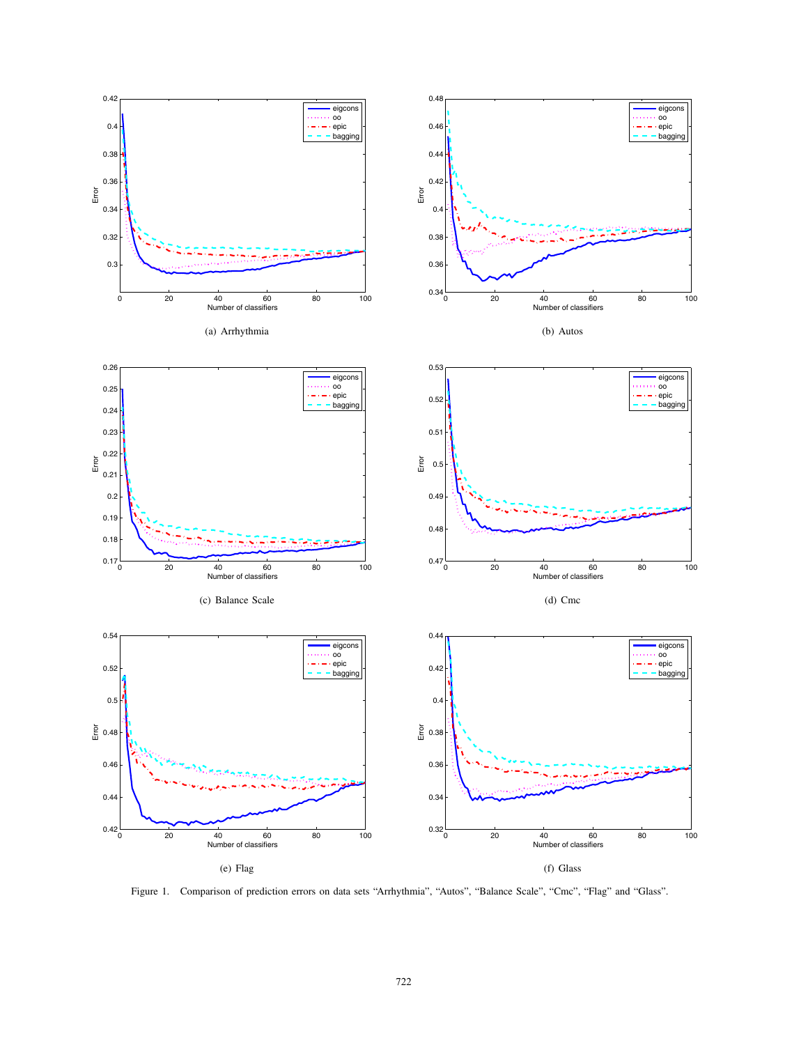

Figure 1. Comparison of prediction errors on data sets "Arrhythmia", "Autos", "Balance Scale", "Cmc", "Flag" and "Glass".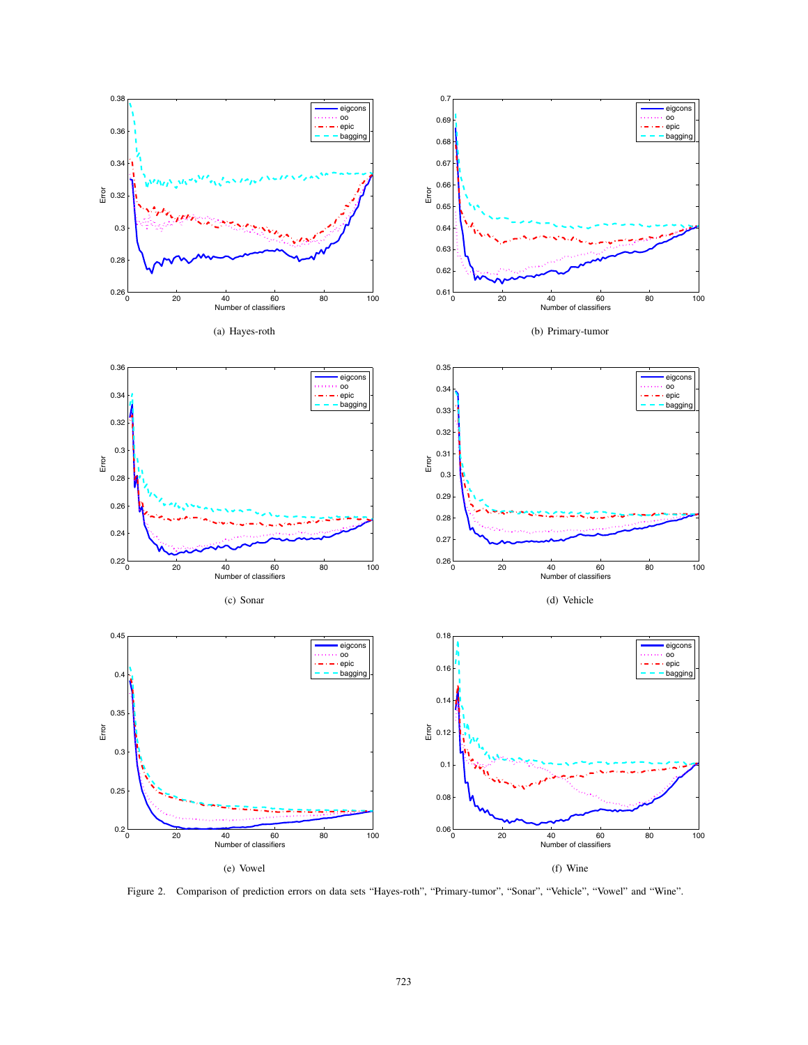

Figure 2. Comparison of prediction errors on data sets "Hayes-roth", "Primary-tumor", "Sonar", "Vehicle", "Vowel" and "Wine".